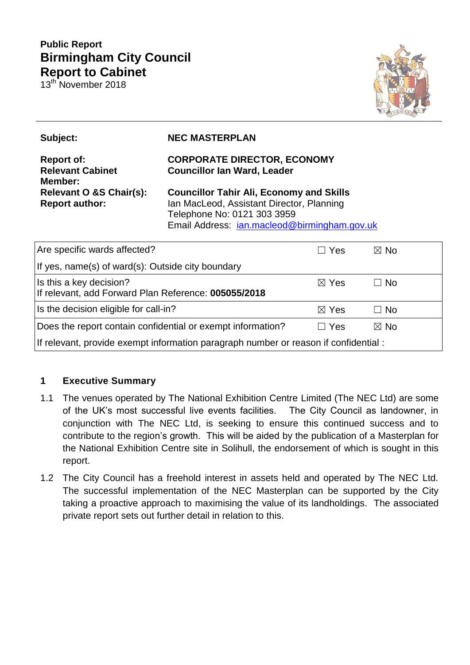# **Public Report Birmingham City Council Report to Cabinet**

13th November 2018



| Subject:                                                | <b>NEC MASTERPLAN</b>                                                                                                                                                       |                 |                |  |
|---------------------------------------------------------|-----------------------------------------------------------------------------------------------------------------------------------------------------------------------------|-----------------|----------------|--|
| <b>Report of:</b><br><b>Relevant Cabinet</b><br>Member: | <b>CORPORATE DIRECTOR, ECONOMY</b><br><b>Councillor Ian Ward, Leader</b>                                                                                                    |                 |                |  |
| Relevant O &S Chair(s):<br><b>Report author:</b>        | <b>Councillor Tahir Ali, Economy and Skills</b><br>Ian MacLeod, Assistant Director, Planning<br>Telephone No: 0121 303 3959<br>Email Address: jan.macleod@birmingham.gov.uk |                 |                |  |
| Are specific wards affected?                            |                                                                                                                                                                             | $\Box$ Yes      | $\boxtimes$ No |  |
| If yes, name(s) of ward(s): Outside city boundary       |                                                                                                                                                                             |                 |                |  |
| Is this a key decision?                                 |                                                                                                                                                                             | $\boxtimes$ Yes | N <sub>0</sub> |  |

| Is the decision eligible for call-in?                                                | ⊠ Yes      | $\Box$ No |  |  |  |
|--------------------------------------------------------------------------------------|------------|-----------|--|--|--|
| Does the report contain confidential or exempt information?                          | $\Box$ Yes | ⊠ No      |  |  |  |
| If relevant, provide exempt information paragraph number or reason if confidential : |            |           |  |  |  |
|                                                                                      |            |           |  |  |  |

If relevant, add Forward Plan Reference: **005055/2018**

# **1 Executive Summary**

- 1.1 The venues operated by The National Exhibition Centre Limited (The NEC Ltd) are some of the UK's most successful live events facilities. The City Council as landowner, in conjunction with The NEC Ltd, is seeking to ensure this continued success and to contribute to the region's growth. This will be aided by the publication of a Masterplan for the National Exhibition Centre site in Solihull, the endorsement of which is sought in this report.
- 1.2 The City Council has a freehold interest in assets held and operated by The NEC Ltd. The successful implementation of the NEC Masterplan can be supported by the City taking a proactive approach to maximising the value of its landholdings. The associated private report sets out further detail in relation to this.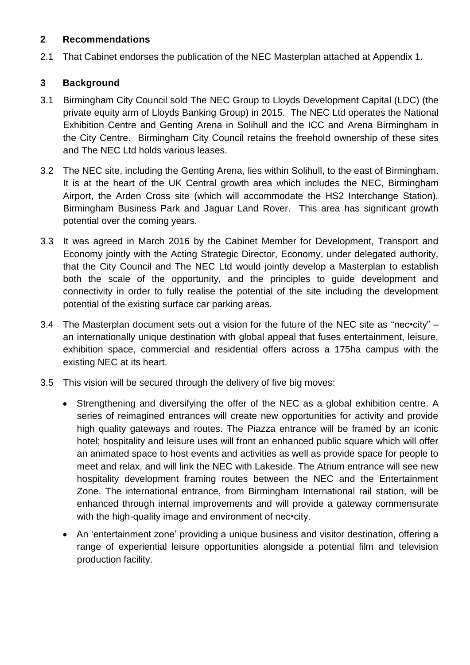### **2 Recommendations**

2.1 That Cabinet endorses the publication of the NEC Masterplan attached at Appendix 1.

# **3 Background**

- 3.1 Birmingham City Council sold The NEC Group to Lloyds Development Capital (LDC) (the private equity arm of Lloyds Banking Group) in 2015. The NEC Ltd operates the National Exhibition Centre and Genting Arena in Solihull and the ICC and Arena Birmingham in the City Centre. Birmingham City Council retains the freehold ownership of these sites and The NEC Ltd holds various leases.
- 3.2 The NEC site, including the Genting Arena, lies within Solihull, to the east of Birmingham. It is at the heart of the UK Central growth area which includes the NEC, Birmingham Airport, the Arden Cross site (which will accommodate the HS2 Interchange Station), Birmingham Business Park and Jaguar Land Rover. This area has significant growth potential over the coming years.
- 3.3 It was agreed in March 2016 by the Cabinet Member for Development, Transport and Economy jointly with the Acting Strategic Director, Economy, under delegated authority, that the City Council and The NEC Ltd would jointly develop a Masterplan to establish both the scale of the opportunity, and the principles to guide development and connectivity in order to fully realise the potential of the site including the development potential of the existing surface car parking areas.
- 3.4 The Masterplan document sets out a vision for the future of the NEC site as "nec•city" an internationally unique destination with global appeal that fuses entertainment, leisure, exhibition space, commercial and residential offers across a 175ha campus with the existing NEC at its heart.
- 3.5 This vision will be secured through the delivery of five big moves:
	- Strengthening and diversifying the offer of the NEC as a global exhibition centre. A series of reimagined entrances will create new opportunities for activity and provide high quality gateways and routes. The Piazza entrance will be framed by an iconic hotel; hospitality and leisure uses will front an enhanced public square which will offer an animated space to host events and activities as well as provide space for people to meet and relax, and will link the NEC with Lakeside. The Atrium entrance will see new hospitality development framing routes between the NEC and the Entertainment Zone. The international entrance, from Birmingham International rail station, will be enhanced through internal improvements and will provide a gateway commensurate with the high-quality image and environment of nec•city.
	- An 'entertainment zone' providing a unique business and visitor destination, offering a range of experiential leisure opportunities alongside a potential film and television production facility.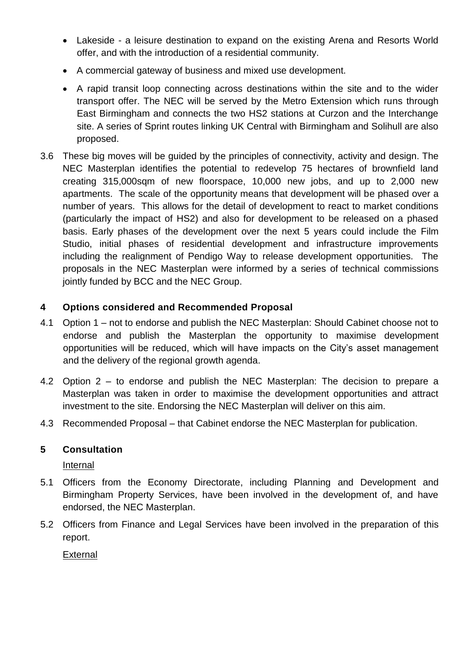- Lakeside a leisure destination to expand on the existing Arena and Resorts World offer, and with the introduction of a residential community.
- A commercial gateway of business and mixed use development.
- A rapid transit loop connecting across destinations within the site and to the wider transport offer. The NEC will be served by the Metro Extension which runs through East Birmingham and connects the two HS2 stations at Curzon and the Interchange site. A series of Sprint routes linking UK Central with Birmingham and Solihull are also proposed.
- 3.6 These big moves will be guided by the principles of connectivity, activity and design. The NEC Masterplan identifies the potential to redevelop 75 hectares of brownfield land creating 315,000sqm of new floorspace, 10,000 new jobs, and up to 2,000 new apartments. The scale of the opportunity means that development will be phased over a number of years. This allows for the detail of development to react to market conditions (particularly the impact of HS2) and also for development to be released on a phased basis. Early phases of the development over the next 5 years could include the Film Studio, initial phases of residential development and infrastructure improvements including the realignment of Pendigo Way to release development opportunities. The proposals in the NEC Masterplan were informed by a series of technical commissions jointly funded by BCC and the NEC Group.

# **4 Options considered and Recommended Proposal**

- 4.1 Option 1 not to endorse and publish the NEC Masterplan: Should Cabinet choose not to endorse and publish the Masterplan the opportunity to maximise development opportunities will be reduced, which will have impacts on the City's asset management and the delivery of the regional growth agenda.
- 4.2 Option 2 to endorse and publish the NEC Masterplan: The decision to prepare a Masterplan was taken in order to maximise the development opportunities and attract investment to the site. Endorsing the NEC Masterplan will deliver on this aim.
- 4.3 Recommended Proposal that Cabinet endorse the NEC Masterplan for publication.

# **5 Consultation**

Internal

- 5.1 Officers from the Economy Directorate, including Planning and Development and Birmingham Property Services, have been involved in the development of, and have endorsed, the NEC Masterplan.
- 5.2 Officers from Finance and Legal Services have been involved in the preparation of this report.

External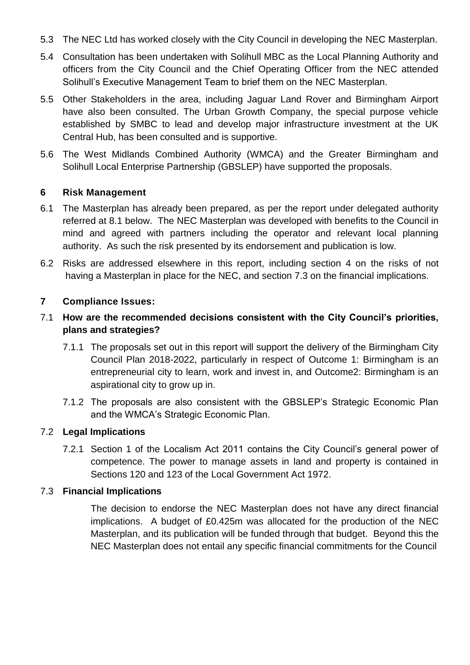- 5.3 The NEC Ltd has worked closely with the City Council in developing the NEC Masterplan.
- 5.4 Consultation has been undertaken with Solihull MBC as the Local Planning Authority and officers from the City Council and the Chief Operating Officer from the NEC attended Solihull's Executive Management Team to brief them on the NEC Masterplan.
- 5.5 Other Stakeholders in the area, including Jaguar Land Rover and Birmingham Airport have also been consulted. The Urban Growth Company, the special purpose vehicle established by SMBC to lead and develop major infrastructure investment at the UK Central Hub, has been consulted and is supportive.
- 5.6 The West Midlands Combined Authority (WMCA) and the Greater Birmingham and Solihull Local Enterprise Partnership (GBSLEP) have supported the proposals.

### **6 Risk Management**

- 6.1 The Masterplan has already been prepared, as per the report under delegated authority referred at 8.1 below. The NEC Masterplan was developed with benefits to the Council in mind and agreed with partners including the operator and relevant local planning authority. As such the risk presented by its endorsement and publication is low.
- 6.2 Risks are addressed elsewhere in this report, including section 4 on the risks of not having a Masterplan in place for the NEC, and section 7.3 on the financial implications.

### **7 Compliance Issues:**

- 7.1 **How are the recommended decisions consistent with the City Council's priorities, plans and strategies?**
	- 7.1.1 The proposals set out in this report will support the delivery of the Birmingham City Council Plan 2018-2022, particularly in respect of Outcome 1: Birmingham is an entrepreneurial city to learn, work and invest in, and Outcome2: Birmingham is an aspirational city to grow up in.
	- 7.1.2 The proposals are also consistent with the GBSLEP's Strategic Economic Plan and the WMCA's Strategic Economic Plan.

#### 7.2 **Legal Implications**

7.2.1 Section 1 of the Localism Act 2011 contains the City Council's general power of competence. The power to manage assets in land and property is contained in Sections 120 and 123 of the Local Government Act 1972.

#### 7.3 **Financial Implications**

The decision to endorse the NEC Masterplan does not have any direct financial implications. A budget of £0.425m was allocated for the production of the NEC Masterplan, and its publication will be funded through that budget. Beyond this the NEC Masterplan does not entail any specific financial commitments for the Council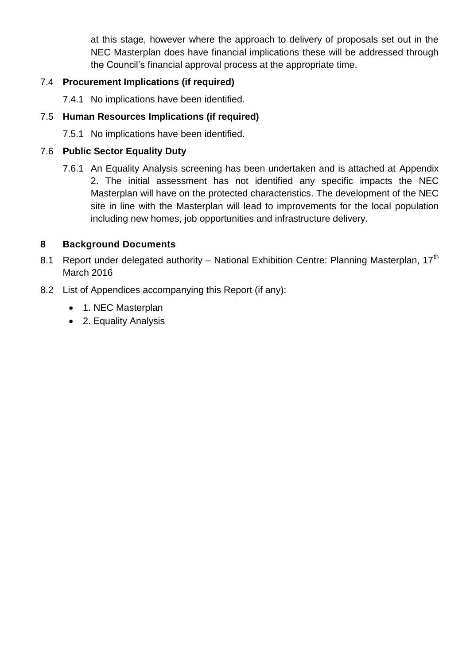at this stage, however where the approach to delivery of proposals set out in the NEC Masterplan does have financial implications these will be addressed through the Council's financial approval process at the appropriate time.

## 7.4 **Procurement Implications (if required)**

7.4.1 No implications have been identified.

### 7.5 **Human Resources Implications (if required)**

7.5.1 No implications have been identified.

### 7.6 **Public Sector Equality Duty**

7.6.1 An Equality Analysis screening has been undertaken and is attached at Appendix 2. The initial assessment has not identified any specific impacts the NEC Masterplan will have on the protected characteristics. The development of the NEC site in line with the Masterplan will lead to improvements for the local population including new homes, job opportunities and infrastructure delivery.

### **8 Background Documents**

- 8.1 Report under delegated authority National Exhibition Centre: Planning Masterplan, 17<sup>th</sup> March 2016
- 8.2 List of Appendices accompanying this Report (if any):
	- 1. NEC Masterplan
	- 2. Equality Analysis